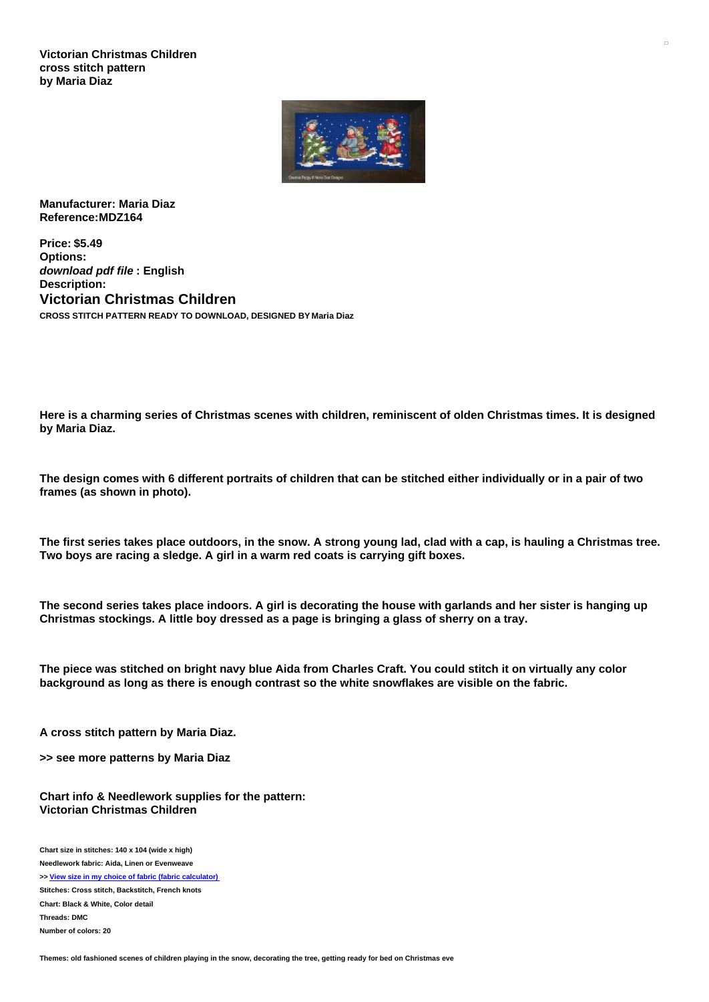**Victorian Christmas Children cross stitch pattern by Maria Diaz**



**Manufacturer: Maria Diaz Reference:MDZ164**

**Price: \$5.49 Options:** *download pdf file* **: English Description: Victorian Christmas Children CROSS STITCH PATTERN READY TO DOWNLOAD, DESIGNED BY Maria Diaz**

Here is a charming series of Christmas scenes with children, reminiscent of olden Christmas times, It is designed **by Maria Diaz.**

The design comes with 6 different portraits of children that can be stitched either individually or in a pair of two **frames (as shown in photo).**

The first series takes place outdoors, in the snow. A strong young lad, clad with a cap, is hauling a Christmas tree. **Two boys are racing a sledge. A girl in a warm red coats is carrying gift boxes.**

The second series takes place indoors. A girl is decorating the house with garlands and her sister is hanging up **Christmas stockings. A little boy dressed as a page is bringing a glass of sherry on a tray.**

The piece was stitched on bright navy blue Aida from Charles Craft. You could stitch it on virtually any color **background as long as there is enough contrast so the white snowflakes are visible on the fabric.**

**A cross stitch pattern by Maria Diaz.**

**>> see more patterns by Maria Diaz**

**Chart info & Needlework supplies for the pattern: Victorian Christmas Children**

**Chart size in stitches: 140 x 104 (wide x high) Needlework fabric: Aida, Linen or Evenweave >> View size in my choice of fabric (fabric [calculator\)](https://www.creativepoppypatterns.com/calculette-de-toile.php?products_id=2955&w=140&h=104) Stitches: Cross stitch, Backstitch, French knots Chart: Black & White, Color detail Threads: DMC Number of colors: 20**

Themes: old fashioned scenes of children playing in the snow, decorating the tree, getting ready for bed on Christmas eve